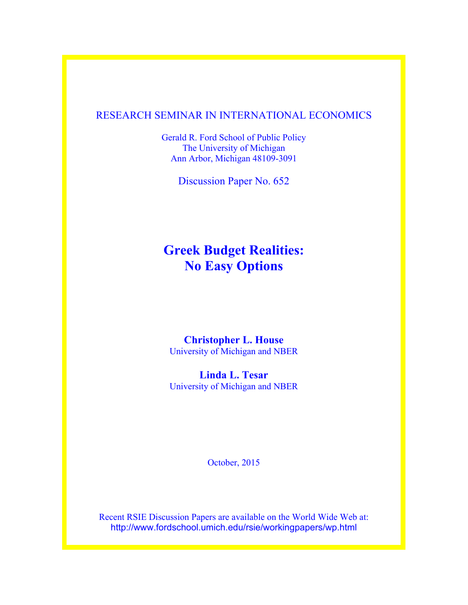## RESEARCH SEMINAR IN INTERNATIONAL ECONOMICS

Gerald R. Ford School of Public Policy The University of Michigan Ann Arbor, Michigan 48109-3091

Discussion Paper No. 652

# **Greek Budget Realities: No Easy Options**

## **Christopher L. House**

University of Michigan and NBER

**Linda L. Tesar**  University of Michigan and NBER

October, 2015

Recent RSIE Discussion Papers are available on the World Wide Web at: http://www.fordschool.umich.edu/rsie/workingpapers/wp.html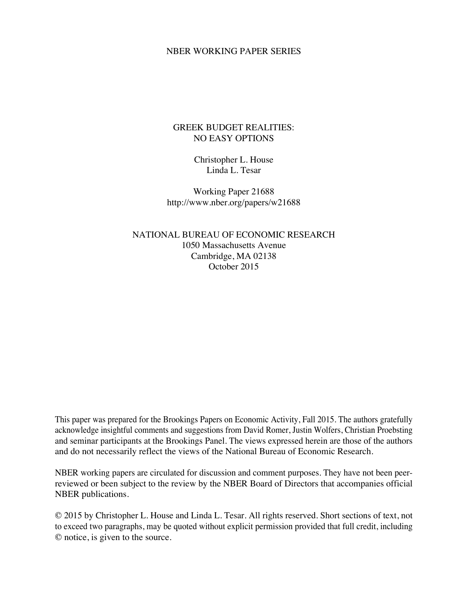## NBER WORKING PAPER SERIES

## GREEK BUDGET REALITIES: NO EASY OPTIONS

Christopher L. House Linda L. Tesar

Working Paper 21688 http://www.nber.org/papers/w21688

NATIONAL BUREAU OF ECONOMIC RESEARCH 1050 Massachusetts Avenue Cambridge, MA 02138 October 2015

This paper was prepared for the Brookings Papers on Economic Activity, Fall 2015. The authors gratefully acknowledge insightful comments and suggestions from David Romer, Justin Wolfers, Christian Proebsting and seminar participants at the Brookings Panel. The views expressed herein are those of the authors and do not necessarily reflect the views of the National Bureau of Economic Research.

NBER working papers are circulated for discussion and comment purposes. They have not been peerreviewed or been subject to the review by the NBER Board of Directors that accompanies official NBER publications.

© 2015 by Christopher L. House and Linda L. Tesar. All rights reserved. Short sections of text, not to exceed two paragraphs, may be quoted without explicit permission provided that full credit, including © notice, is given to the source.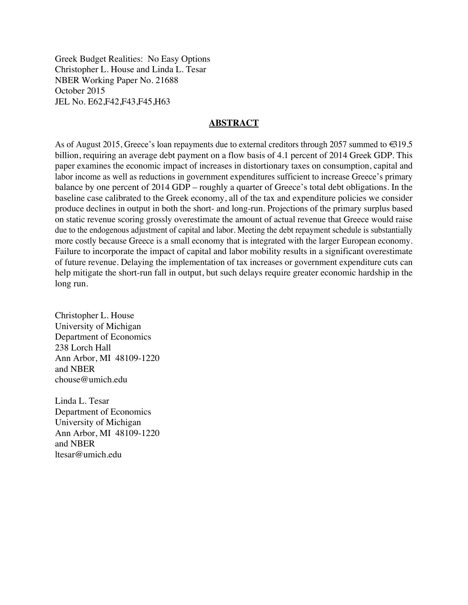Greek Budget Realities: No Easy Options Christopher L. House and Linda L. Tesar NBER Working Paper No. 21688 October 2015 JEL No. E62,F42,F43,F45,H63

## **ABSTRACT**

As of August 2015, Greece's loan repayments due to external creditors through 2057 summed to €319.5 billion, requiring an average debt payment on a flow basis of 4.1 percent of 2014 Greek GDP. This paper examines the economic impact of increases in distortionary taxes on consumption, capital and labor income as well as reductions in government expenditures sufficient to increase Greece's primary balance by one percent of 2014 GDP – roughly a quarter of Greece's total debt obligations. In the baseline case calibrated to the Greek economy, all of the tax and expenditure policies we consider produce declines in output in both the short- and long-run. Projections of the primary surplus based on static revenue scoring grossly overestimate the amount of actual revenue that Greece would raise due to the endogenous adjustment of capital and labor. Meeting the debt repayment schedule is substantially more costly because Greece is a small economy that is integrated with the larger European economy. Failure to incorporate the impact of capital and labor mobility results in a significant overestimate of future revenue. Delaying the implementation of tax increases or government expenditure cuts can help mitigate the short-run fall in output, but such delays require greater economic hardship in the long run.

Christopher L. House University of Michigan Department of Economics 238 Lorch Hall Ann Arbor, MI 48109-1220 and NBER chouse@umich.edu

Linda L. Tesar Department of Economics University of Michigan Ann Arbor, MI 48109-1220 and NBER ltesar@umich.edu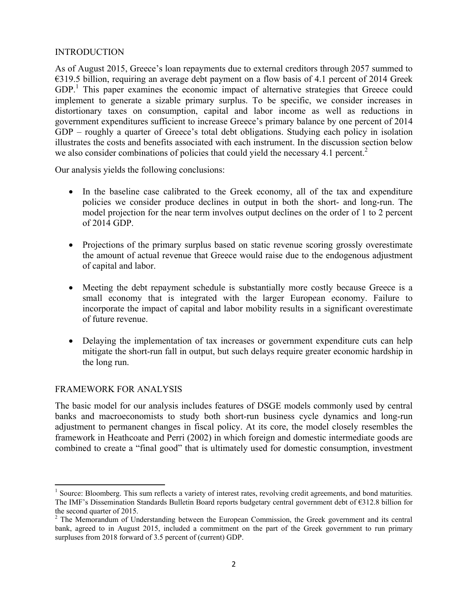## INTRODUCTION

As of August 2015, Greece's loan repayments due to external creditors through 2057 summed to €319.5 billion, requiring an average debt payment on a flow basis of 4.1 percent of 2014 Greek GDP.<sup>1</sup> This paper examines the economic impact of alternative strategies that Greece could implement to generate a sizable primary surplus. To be specific, we consider increases in distortionary taxes on consumption, capital and labor income as well as reductions in government expenditures sufficient to increase Greece's primary balance by one percent of 2014 GDP – roughly a quarter of Greece's total debt obligations. Studying each policy in isolation illustrates the costs and benefits associated with each instrument. In the discussion section below we also consider combinations of policies that could yield the necessary 4.1 percent.<sup>2</sup>

Our analysis yields the following conclusions:

- In the baseline case calibrated to the Greek economy, all of the tax and expenditure policies we consider produce declines in output in both the short- and long-run. The model projection for the near term involves output declines on the order of 1 to 2 percent of 2014 GDP.
- Projections of the primary surplus based on static revenue scoring grossly overestimate the amount of actual revenue that Greece would raise due to the endogenous adjustment of capital and labor.
- Meeting the debt repayment schedule is substantially more costly because Greece is a small economy that is integrated with the larger European economy. Failure to incorporate the impact of capital and labor mobility results in a significant overestimate of future revenue.
- Delaying the implementation of tax increases or government expenditure cuts can help mitigate the short-run fall in output, but such delays require greater economic hardship in the long run.

## FRAMEWORK FOR ANALYSIS

The basic model for our analysis includes features of DSGE models commonly used by central banks and macroeconomists to study both short-run business cycle dynamics and long-run adjustment to permanent changes in fiscal policy. At its core, the model closely resembles the framework in Heathcoate and Perri (2002) in which foreign and domestic intermediate goods are combined to create a "final good" that is ultimately used for domestic consumption, investment

<sup>&</sup>lt;sup>1</sup> Source: Bloomberg. This sum reflects a variety of interest rates, revolving credit agreements, and bond maturities. The IMF's Dissemination Standards Bulletin Board reports budgetary central government debt of €312.8 billion for the second quarter of 2015.

 $2$  The Memorandum of Understanding between the European Commission, the Greek government and its central bank, agreed to in August 2015, included a commitment on the part of the Greek government to run primary surpluses from 2018 forward of 3.5 percent of (current) GDP.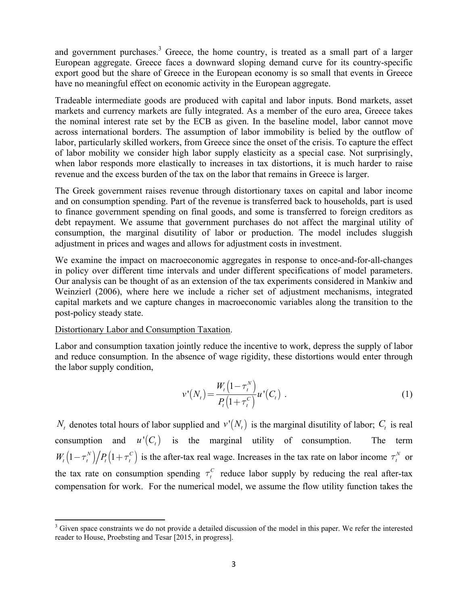and government purchases. $3$  Greece, the home country, is treated as a small part of a larger European aggregate. Greece faces a downward sloping demand curve for its country-specific export good but the share of Greece in the European economy is so small that events in Greece have no meaningful effect on economic activity in the European aggregate.

Tradeable intermediate goods are produced with capital and labor inputs. Bond markets, asset markets and currency markets are fully integrated. As a member of the euro area, Greece takes the nominal interest rate set by the ECB as given. In the baseline model, labor cannot move across international borders. The assumption of labor immobility is belied by the outflow of labor, particularly skilled workers, from Greece since the onset of the crisis. To capture the effect of labor mobility we consider high labor supply elasticity as a special case. Not surprisingly, when labor responds more elastically to increases in tax distortions, it is much harder to raise revenue and the excess burden of the tax on the labor that remains in Greece is larger.

The Greek government raises revenue through distortionary taxes on capital and labor income and on consumption spending. Part of the revenue is transferred back to households, part is used to finance government spending on final goods, and some is transferred to foreign creditors as debt repayment. We assume that government purchases do not affect the marginal utility of consumption, the marginal disutility of labor or production. The model includes sluggish adjustment in prices and wages and allows for adjustment costs in investment.

We examine the impact on macroeconomic aggregates in response to once-and-for-all-changes in policy over different time intervals and under different specifications of model parameters. Our analysis can be thought of as an extension of the tax experiments considered in Mankiw and Weinzierl (2006), where here we include a richer set of adjustment mechanisms, integrated capital markets and we capture changes in macroeconomic variables along the transition to the post-policy steady state.

## Distortionary Labor and Consumption Taxation.

Labor and consumption taxation jointly reduce the incentive to work, depress the supply of labor and reduce consumption. In the absence of wage rigidity, these distortions would enter through the labor supply condition,

$$
v'(N_t) = \frac{W_t(1 - \tau_t^N)}{P_t(1 + \tau_t^C)} u'(C_t) \tag{1}
$$

 $N_t$  denotes total hours of labor supplied and  $v'(N_t)$  is the marginal disutility of labor;  $C_t$  is real consumption and  $u'(C_t)$  is the marginal utility of consumption. The term  $W_t(1 - \tau_t^N)/P_t(1 + \tau_t^C)$  is the after-tax real wage. Increases in the tax rate on labor income  $\tau_t^N$  or the tax rate on consumption spending  $\tau_t^C$  reduce labor supply by reducing the real after-tax compensation for work. For the numerical model, we assume the flow utility function takes the

  $3$  Given space constraints we do not provide a detailed discussion of the model in this paper. We refer the interested reader to House, Proebsting and Tesar [2015, in progress].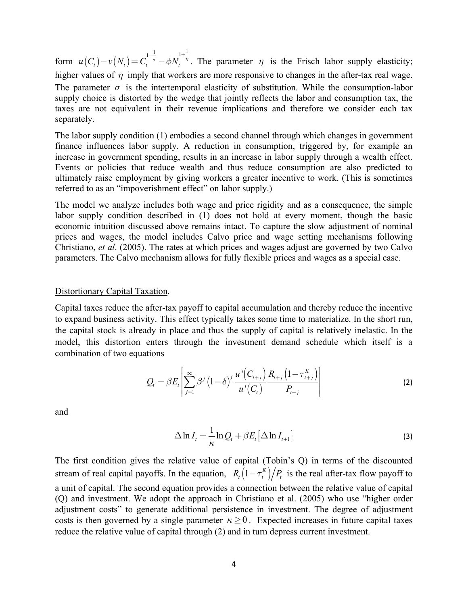form  $u(C_t)-v(N_t)=C_t$   $\sigma-\phi N_t$ , <sup>n</sup>. The parameter  $\eta$  is the Frisch labor supply elasticity; higher values of  $\eta$  imply that workers are more responsive to changes in the after-tax real wage. The parameter  $\sigma$  is the intertemporal elasticity of substitution. While the consumption-labor supply choice is distorted by the wedge that jointly reflects the labor and consumption tax, the taxes are not equivalent in their revenue implications and therefore we consider each tax separately.  $u(C_t) - v(N_t) = C_t^{1-\frac{1}{\sigma}} - \phi N_t^{1+\frac{1}{\eta}}$ . The parameter  $\eta$ 

The labor supply condition (1) embodies a second channel through which changes in government finance influences labor supply. A reduction in consumption, triggered by, for example an increase in government spending, results in an increase in labor supply through a wealth effect. Events or policies that reduce wealth and thus reduce consumption are also predicted to ultimately raise employment by giving workers a greater incentive to work. (This is sometimes referred to as an "impoverishment effect" on labor supply.)

The model we analyze includes both wage and price rigidity and as a consequence, the simple labor supply condition described in (1) does not hold at every moment, though the basic economic intuition discussed above remains intact. To capture the slow adjustment of nominal prices and wages, the model includes Calvo price and wage setting mechanisms following Christiano, *et al*. (2005). The rates at which prices and wages adjust are governed by two Calvo parameters. The Calvo mechanism allows for fully flexible prices and wages as a special case.

#### Distortionary Capital Taxation.

Capital taxes reduce the after-tax payoff to capital accumulation and thereby reduce the incentive to expand business activity. This effect typically takes some time to materialize. In the short run, the capital stock is already in place and thus the supply of capital is relatively inelastic. In the model, this distortion enters through the investment demand schedule which itself is a combination of two equations

$$
Q_{t} = \beta E_{t} \left[ \sum_{j=1}^{\infty} \beta^{j} (1-\delta)^{j} \frac{u^{i}(C_{t+j})}{u^{i}(C_{t})} \frac{R_{t+j}(1-\tau_{t+j}^{K})}{P_{t+j}} \right]
$$
(2)

and

$$
\Delta \ln I_t = \frac{1}{\kappa} \ln Q_t + \beta E_t \left[ \Delta \ln I_{t+1} \right]
$$
\n(3)

The first condition gives the relative value of capital (Tobin's Q) in terms of the discounted stream of real capital payoffs. In the equation,  $R_t(1 - \tau_i^K)/P_t$  is the real after-tax flow payoff to a unit of capital. The second equation provides a connection between the relative value of capital (Q) and investment. We adopt the approach in Christiano et al. (2005) who use "higher order adjustment costs" to generate additional persistence in investment. The degree of adjustment costs is then governed by a single parameter  $\kappa \geq 0$ . Expected increases in future capital taxes reduce the relative value of capital through (2) and in turn depress current investment.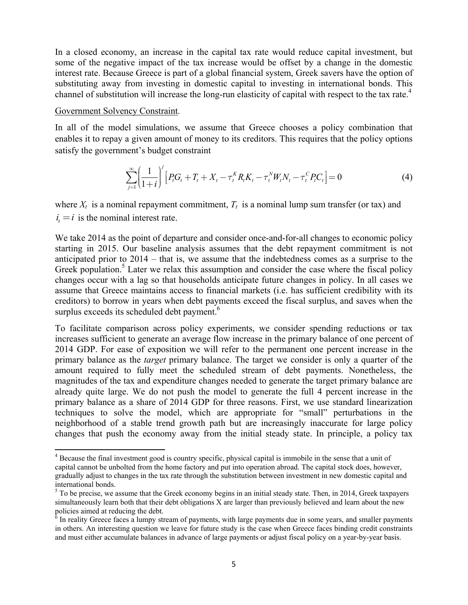In a closed economy, an increase in the capital tax rate would reduce capital investment, but some of the negative impact of the tax increase would be offset by a change in the domestic interest rate. Because Greece is part of a global financial system, Greek savers have the option of substituting away from investing in domestic capital to investing in international bonds. This channel of substitution will increase the long-run elasticity of capital with respect to the tax rate.<sup>4</sup>

## Government Solvency Constraint.

In all of the model simulations, we assume that Greece chooses a policy combination that enables it to repay a given amount of money to its creditors. This requires that the policy options satisfy the government's budget constraint

$$
\sum_{j=1}^{\infty} \left( \frac{1}{1+i} \right)^j \left[ P_t G_t + T_t + X_t - \tau_t^K R_t K_t - \tau_t^N W_t N_t - \tau_t^C P_t C_t \right] = 0 \tag{4}
$$

where  $X_t$  is a nominal repayment commitment,  $T_t$  is a nominal lump sum transfer (or tax) and  $i_t = i$  is the nominal interest rate.

We take 2014 as the point of departure and consider once-and-for-all changes to economic policy starting in 2015. Our baseline analysis assumes that the debt repayment commitment is not anticipated prior to 2014 – that is, we assume that the indebtedness comes as a surprise to the Greek population.<sup>5</sup> Later we relax this assumption and consider the case where the fiscal policy changes occur with a lag so that households anticipate future changes in policy. In all cases we assume that Greece maintains access to financial markets (i.e. has sufficient credibility with its creditors) to borrow in years when debt payments exceed the fiscal surplus, and saves when the surplus exceeds its scheduled debt payment.<sup>6</sup>

To facilitate comparison across policy experiments, we consider spending reductions or tax increases sufficient to generate an average flow increase in the primary balance of one percent of 2014 GDP. For ease of exposition we will refer to the permanent one percent increase in the primary balance as the *target* primary balance. The target we consider is only a quarter of the amount required to fully meet the scheduled stream of debt payments. Nonetheless, the magnitudes of the tax and expenditure changes needed to generate the target primary balance are already quite large. We do not push the model to generate the full 4 percent increase in the primary balance as a share of 2014 GDP for three reasons. First, we use standard linearization techniques to solve the model, which are appropriate for "small" perturbations in the neighborhood of a stable trend growth path but are increasingly inaccurate for large policy changes that push the economy away from the initial steady state. In principle, a policy tax

<sup>&</sup>lt;sup>4</sup> Because the final investment good is country specific, physical capital is immobile in the sense that a unit of capital cannot be unbolted from the home factory and put into operation abroad. The capital stock does, however, gradually adjust to changes in the tax rate through the substitution between investment in new domestic capital and international bonds.

 $5$  To be precise, we assume that the Greek economy begins in an initial steady state. Then, in 2014, Greek taxpayers simultaneously learn both that their debt obligations X are larger than previously believed and learn about the new policies aimed at reducing the debt.

 $\frac{6}{6}$  In reality Greece faces a lumpy stream of payments, with large payments due in some years, and smaller payments in others. An interesting question we leave for future study is the case when Greece faces binding credit constraints and must either accumulate balances in advance of large payments or adjust fiscal policy on a year-by-year basis.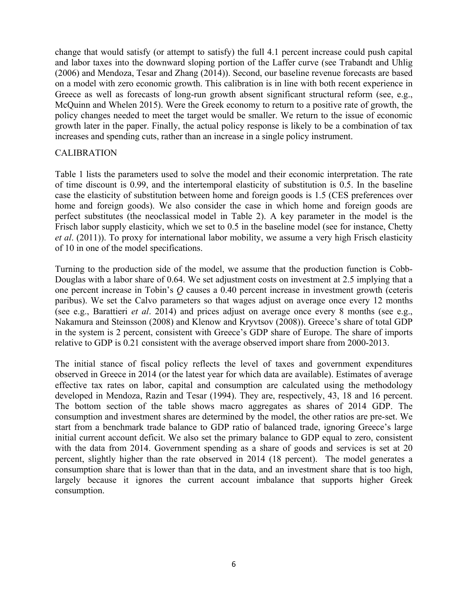change that would satisfy (or attempt to satisfy) the full 4.1 percent increase could push capital and labor taxes into the downward sloping portion of the Laffer curve (see Trabandt and Uhlig (2006) and Mendoza, Tesar and Zhang (2014)). Second, our baseline revenue forecasts are based on a model with zero economic growth. This calibration is in line with both recent experience in Greece as well as forecasts of long-run growth absent significant structural reform (see, e.g., McQuinn and Whelen 2015). Were the Greek economy to return to a positive rate of growth, the policy changes needed to meet the target would be smaller. We return to the issue of economic growth later in the paper. Finally, the actual policy response is likely to be a combination of tax increases and spending cuts, rather than an increase in a single policy instrument.

## **CALIBRATION**

Table 1 lists the parameters used to solve the model and their economic interpretation. The rate of time discount is 0.99, and the intertemporal elasticity of substitution is 0.5. In the baseline case the elasticity of substitution between home and foreign goods is 1.5 (CES preferences over home and foreign goods). We also consider the case in which home and foreign goods are perfect substitutes (the neoclassical model in Table 2). A key parameter in the model is the Frisch labor supply elasticity, which we set to 0.5 in the baseline model (see for instance, Chetty *et al*. (2011)). To proxy for international labor mobility, we assume a very high Frisch elasticity of 10 in one of the model specifications.

Turning to the production side of the model, we assume that the production function is Cobb-Douglas with a labor share of 0.64. We set adjustment costs on investment at 2.5 implying that a one percent increase in Tobin's *Q* causes a 0.40 percent increase in investment growth (ceteris paribus). We set the Calvo parameters so that wages adjust on average once every 12 months (see e.g., Barattieri *et al*. 2014) and prices adjust on average once every 8 months (see e.g., Nakamura and Steinsson (2008) and Klenow and Kryvtsov (2008)). Greece's share of total GDP in the system is 2 percent, consistent with Greece's GDP share of Europe. The share of imports relative to GDP is 0.21 consistent with the average observed import share from 2000-2013.

The initial stance of fiscal policy reflects the level of taxes and government expenditures observed in Greece in 2014 (or the latest year for which data are available). Estimates of average effective tax rates on labor, capital and consumption are calculated using the methodology developed in Mendoza, Razin and Tesar (1994). They are, respectively, 43, 18 and 16 percent. The bottom section of the table shows macro aggregates as shares of 2014 GDP. The consumption and investment shares are determined by the model, the other ratios are pre-set. We start from a benchmark trade balance to GDP ratio of balanced trade, ignoring Greece's large initial current account deficit. We also set the primary balance to GDP equal to zero, consistent with the data from 2014. Government spending as a share of goods and services is set at 20 percent, slightly higher than the rate observed in 2014 (18 percent). The model generates a consumption share that is lower than that in the data, and an investment share that is too high, largely because it ignores the current account imbalance that supports higher Greek consumption.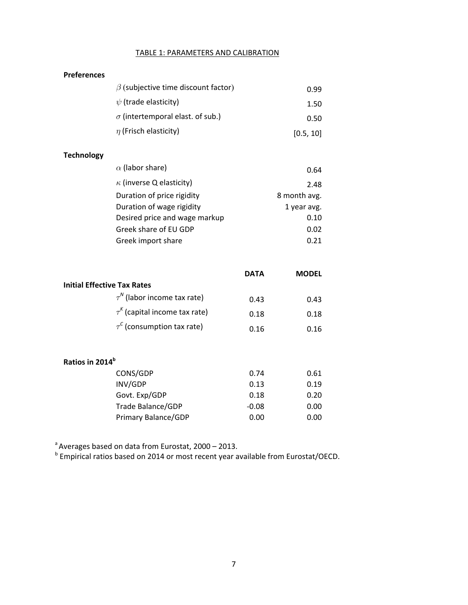#### TABLE 1: PARAMETERS AND CALIBRATION

| <b>Preferences</b> |  |
|--------------------|--|
|--------------------|--|

**Technology**

| $\beta$ (subjective time discount factor) | 0.99      |
|-------------------------------------------|-----------|
| $\psi$ (trade elasticity)                 | 1.50      |
| $\sigma$ (intertemporal elast. of sub.)   | 0.50      |
| $\eta$ (Frisch elasticity)                | [0.5, 10] |
|                                           |           |
| $\alpha$ (labor share)                    | ∩⊆∧       |

| $\alpha$ (ignoriation)          | U.64         |
|---------------------------------|--------------|
| $\kappa$ (inverse Q elasticity) | 2.48         |
| Duration of price rigidity      | 8 month avg. |
| Duration of wage rigidity       | 1 year avg.  |
| Desired price and wage markup   | 0.10         |
| Greek share of EU GDP           | 0.02         |
| Greek import share              | 0.21         |
|                                 |              |

|                                    | <b>DATA</b> | <b>MODEL</b> |
|------------------------------------|-------------|--------------|
| <b>Initial Effective Tax Rates</b> |             |              |
| $\tau^N$ (labor income tax rate)   | 0.43        | 0.43         |
| $\tau^k$ (capital income tax rate) | 0.18        | 0.18         |
| $\tau^c$ (consumption tax rate)    | 0.16        | 0.16         |

| Ratios in 2014 <sup>b</sup> |         |      |  |  |  |  |  |  |
|-----------------------------|---------|------|--|--|--|--|--|--|
| CONS/GDP                    | 0.74    | 0.61 |  |  |  |  |  |  |
| INV/GDP                     | 0.13    | 0.19 |  |  |  |  |  |  |
| Govt. Exp/GDP               | 0.18    | 0.20 |  |  |  |  |  |  |
| Trade Balance/GDP           | $-0.08$ | 0.00 |  |  |  |  |  |  |
| Primary Balance/GDP         | 0.00    | 0.00 |  |  |  |  |  |  |

<sup>a</sup> Averages based on data from Eurostat, 2000 - 2013.

<sup>b</sup> Empirical ratios based on 2014 or most recent year available from Eurostat/OECD.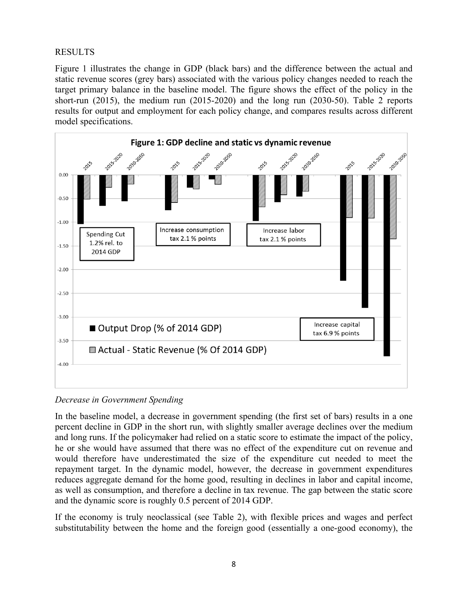## RESULTS

Figure 1 illustrates the change in GDP (black bars) and the difference between the actual and static revenue scores (grey bars) associated with the various policy changes needed to reach the target primary balance in the baseline model. The figure shows the effect of the policy in the short-run (2015), the medium run (2015-2020) and the long run (2030-50). Table 2 reports results for output and employment for each policy change, and compares results across different model specifications.



*Decrease in Government Spending* 

In the baseline model, a decrease in government spending (the first set of bars) results in a one percent decline in GDP in the short run, with slightly smaller average declines over the medium and long runs. If the policymaker had relied on a static score to estimate the impact of the policy, he or she would have assumed that there was no effect of the expenditure cut on revenue and would therefore have underestimated the size of the expenditure cut needed to meet the repayment target. In the dynamic model, however, the decrease in government expenditures reduces aggregate demand for the home good, resulting in declines in labor and capital income, as well as consumption, and therefore a decline in tax revenue. The gap between the static score and the dynamic score is roughly 0.5 percent of 2014 GDP.

If the economy is truly neoclassical (see Table 2), with flexible prices and wages and perfect substitutability between the home and the foreign good (essentially a one-good economy), the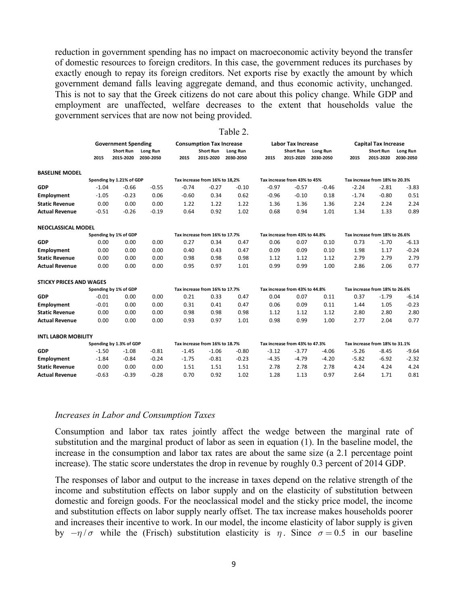reduction in government spending has no impact on macroeconomic activity beyond the transfer of domestic resources to foreign creditors. In this case, the government reduces its purchases by exactly enough to repay its foreign creditors. Net exports rise by exactly the amount by which government demand falls leaving aggregate demand, and thus economic activity, unchanged. This is not to say that the Greek citizens do not care about this policy change. While GDP and employment are unaffected, welfare decreases to the extent that households value the government services that are now not being provided.

|                                |                            |                               |                                |                                |                                 | Table 2.                       |         |                                |                                |         |                                |                                |  |
|--------------------------------|----------------------------|-------------------------------|--------------------------------|--------------------------------|---------------------------------|--------------------------------|---------|--------------------------------|--------------------------------|---------|--------------------------------|--------------------------------|--|
|                                | <b>Government Spending</b> |                               |                                |                                | <b>Consumption Tax Increase</b> |                                |         | <b>Labor Tax Increase</b>      |                                |         | <b>Capital Tax Increase</b>    |                                |  |
|                                | 2015                       | <b>Short Run</b><br>2015-2020 | Long Run<br>2030-2050          | 2015                           | <b>Short Run</b><br>2015-2020   | <b>Long Run</b><br>2030-2050   | 2015    | <b>Short Run</b><br>2015-2020  | Long Run<br>2030-2050          | 2015    | <b>Short Run</b><br>2015-2020  | <b>Long Run</b><br>2030-2050   |  |
| <b>BASELINE MODEL</b>          |                            |                               |                                |                                |                                 |                                |         |                                |                                |         |                                |                                |  |
|                                |                            | Spending by 1.21% of GDP      |                                | Tax increase from 16% to 18,2% |                                 | Tax increase from 43% to 45%   |         | Tax increase from 18% to 20.3% |                                |         |                                |                                |  |
| <b>GDP</b>                     | $-1.04$                    | $-0.66$                       | $-0.55$                        | $-0.74$                        | $-0.27$                         | $-0.10$                        | $-0.97$ | $-0.57$                        | $-0.46$                        | $-2.24$ | $-2.81$                        | $-3.83$                        |  |
| Employment                     | $-1.05$                    | $-0.23$                       | 0.06                           | $-0.60$                        | 0.34                            | 0.62                           | $-0.96$ | $-0.10$                        | 0.18                           | $-1.74$ | $-0.80$                        | 0.51                           |  |
| <b>Static Revenue</b>          | 0.00                       | 0.00                          | 0.00                           | 1.22                           | 1.22                            | 1.22                           | 1.36    | 1.36                           | 1.36                           | 2.24    | 2.24                           | 2.24                           |  |
| <b>Actual Revenue</b>          | $-0.51$                    | $-0.26$                       | $-0.19$                        | 0.64                           | 0.92                            | 1.02                           | 0.68    | 0.94                           | 1.01                           | 1.34    | 1.33                           | 0.89                           |  |
| NEOCLASSICAL MODEL             |                            |                               |                                |                                |                                 |                                |         |                                |                                |         |                                |                                |  |
|                                |                            | Spending by 1% of GDP         |                                |                                | Tax increase from 16% to 17.7%  |                                |         | Tax increase from 43% to 44.8% |                                |         | Tax increase from 18% to 26.6% |                                |  |
| <b>GDP</b>                     | 0.00                       | 0.00                          | 0.00                           | 0.27                           | 0.34                            | 0.47                           | 0.06    | 0.07                           | 0.10                           | 0.73    | $-1.70$                        | $-6.13$                        |  |
| Employment                     | 0.00                       | 0.00                          | 0.00                           | 0.40                           | 0.43                            | 0.47                           | 0.09    | 0.09                           | 0.10                           | 1.98    | 1.17                           | $-0.24$                        |  |
| <b>Static Revenue</b>          | 0.00                       | 0.00                          | 0.00                           | 0.98                           | 0.98                            | 0.98                           | 1.12    | 1.12                           | 1.12                           | 2.79    | 2.79                           | 2.79                           |  |
| <b>Actual Revenue</b>          | 0.00                       | 0.00                          | 0.00                           | 0.95                           | 0.97                            | 1.01                           | 0.99    | 0.99                           | 1.00                           | 2.86    | 2.06                           | 0.77                           |  |
| <b>STICKY PRICES AND WAGES</b> |                            |                               |                                |                                |                                 |                                |         |                                |                                |         |                                |                                |  |
|                                | Spending by 1% of GDP      |                               |                                |                                |                                 | Tax increase from 16% to 17.7% |         |                                | Tax increase from 43% to 44.8% |         |                                | Tax increase from 18% to 26.6% |  |
| <b>GDP</b>                     | $-0.01$                    | 0.00                          | 0.00                           | 0.21                           | 0.33                            | 0.47                           | 0.04    | 0.07                           | 0.11                           | 0.37    | $-1.79$                        | $-6.14$                        |  |
| Employment                     | $-0.01$                    | 0.00                          | 0.00                           | 0.31                           | 0.41                            | 0.47                           | 0.06    | 0.09                           | 0.11                           | 1.44    | 1.05                           | $-0.23$                        |  |
| <b>Static Revenue</b>          | 0.00                       | 0.00                          | 0.00                           | 0.98                           | 0.98                            | 0.98                           | 1.12    | 1.12                           | 1.12                           | 2.80    | 2.80                           | 2.80                           |  |
| <b>Actual Revenue</b>          | 0.00                       | 0.00                          | 0.00                           | 0.93                           | 0.97                            | 1.01                           | 0.98    | 0.99                           | 1.00                           | 2.77    | 2.04                           | 0.77                           |  |
| <b>INTL LABOR MOBILITY</b>     |                            |                               |                                |                                |                                 |                                |         |                                |                                |         |                                |                                |  |
|                                | Spending by 1.3% of GDP    |                               | Tax increase from 16% to 18.7% |                                |                                 | Tax increase from 43% to 47.3% |         |                                | Tax increase from 18% to 31.1% |         |                                |                                |  |
| <b>GDP</b>                     | $-1.50$                    | $-1.08$                       | $-0.81$                        | $-1.45$                        | $-1.06$                         | $-0.80$                        | $-3.12$ | $-3.77$                        | $-4.06$                        | $-5.26$ | $-8.45$                        | $-9.64$                        |  |
| Employment                     | $-1.84$                    | $-0.84$                       | $-0.24$                        | $-1.75$                        | $-0.81$                         | $-0.23$                        | $-4.35$ | $-4.79$                        | $-4.20$                        | $-5.82$ | $-6.92$                        | $-2.32$                        |  |
| <b>Static Revenue</b>          | 0.00                       | 0.00                          | 0.00                           | 1.51                           | 1.51                            | 1.51                           | 2.78    | 2.78                           | 2.78                           | 4.24    | 4.24                           | 4.24                           |  |
| <b>Actual Revenue</b>          | $-0.63$                    | $-0.39$                       | $-0.28$                        | 0.70                           | 0.92                            | 1.02                           | 1.28    | 1.13                           | 0.97                           | 2.64    | 1.71                           | 0.81                           |  |

#### *Increases in Labor and Consumption Taxes*

Consumption and labor tax rates jointly affect the wedge between the marginal rate of substitution and the marginal product of labor as seen in equation (1). In the baseline model, the increase in the consumption and labor tax rates are about the same size (a 2.1 percentage point increase). The static score understates the drop in revenue by roughly 0.3 percent of 2014 GDP.

The responses of labor and output to the increase in taxes depend on the relative strength of the income and substitution effects on labor supply and on the elasticity of substitution between domestic and foreign goods. For the neoclassical model and the sticky price model, the income and substitution effects on labor supply nearly offset. The tax increase makes households poorer and increases their incentive to work. In our model, the income elasticity of labor supply is given by  $-\eta/\sigma$  while the (Frisch) substitution elasticity is  $\eta$ . Since  $\sigma = 0.5$  in our baseline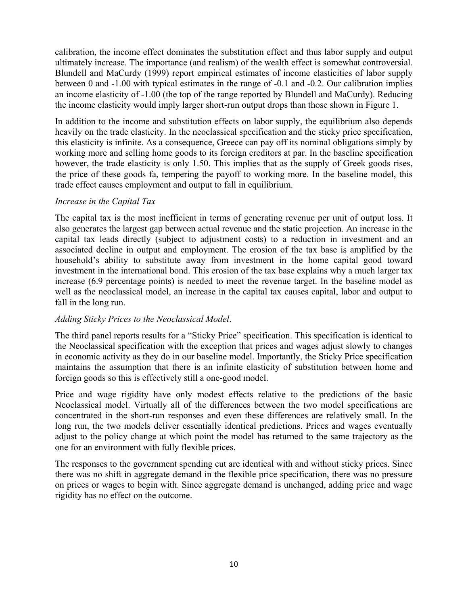calibration, the income effect dominates the substitution effect and thus labor supply and output ultimately increase. The importance (and realism) of the wealth effect is somewhat controversial. Blundell and MaCurdy (1999) report empirical estimates of income elasticities of labor supply between 0 and -1.00 with typical estimates in the range of -0.1 and -0.2. Our calibration implies an income elasticity of -1.00 (the top of the range reported by Blundell and MaCurdy). Reducing the income elasticity would imply larger short-run output drops than those shown in Figure 1.

In addition to the income and substitution effects on labor supply, the equilibrium also depends heavily on the trade elasticity. In the neoclassical specification and the sticky price specification, this elasticity is infinite. As a consequence, Greece can pay off its nominal obligations simply by working more and selling home goods to its foreign creditors at par. In the baseline specification however, the trade elasticity is only 1.50. This implies that as the supply of Greek goods rises, the price of these goods fa, tempering the payoff to working more. In the baseline model, this trade effect causes employment and output to fall in equilibrium.

## *Increase in the Capital Tax*

The capital tax is the most inefficient in terms of generating revenue per unit of output loss. It also generates the largest gap between actual revenue and the static projection. An increase in the capital tax leads directly (subject to adjustment costs) to a reduction in investment and an associated decline in output and employment. The erosion of the tax base is amplified by the household's ability to substitute away from investment in the home capital good toward investment in the international bond. This erosion of the tax base explains why a much larger tax increase (6.9 percentage points) is needed to meet the revenue target. In the baseline model as well as the neoclassical model, an increase in the capital tax causes capital, labor and output to fall in the long run.

## *Adding Sticky Prices to the Neoclassical Model*.

The third panel reports results for a "Sticky Price" specification. This specification is identical to the Neoclassical specification with the exception that prices and wages adjust slowly to changes in economic activity as they do in our baseline model. Importantly, the Sticky Price specification maintains the assumption that there is an infinite elasticity of substitution between home and foreign goods so this is effectively still a one-good model.

Price and wage rigidity have only modest effects relative to the predictions of the basic Neoclassical model. Virtually all of the differences between the two model specifications are concentrated in the short-run responses and even these differences are relatively small. In the long run, the two models deliver essentially identical predictions. Prices and wages eventually adjust to the policy change at which point the model has returned to the same trajectory as the one for an environment with fully flexible prices.

The responses to the government spending cut are identical with and without sticky prices. Since there was no shift in aggregate demand in the flexible price specification, there was no pressure on prices or wages to begin with. Since aggregate demand is unchanged, adding price and wage rigidity has no effect on the outcome.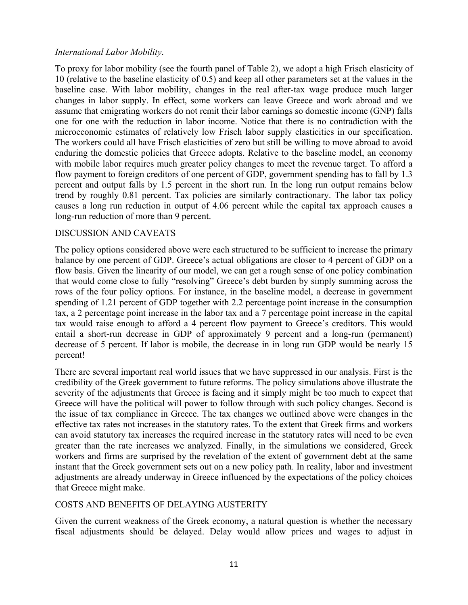## *International Labor Mobility*.

To proxy for labor mobility (see the fourth panel of Table 2), we adopt a high Frisch elasticity of 10 (relative to the baseline elasticity of 0.5) and keep all other parameters set at the values in the baseline case. With labor mobility, changes in the real after-tax wage produce much larger changes in labor supply. In effect, some workers can leave Greece and work abroad and we assume that emigrating workers do not remit their labor earnings so domestic income (GNP) falls one for one with the reduction in labor income. Notice that there is no contradiction with the microeconomic estimates of relatively low Frisch labor supply elasticities in our specification. The workers could all have Frisch elasticities of zero but still be willing to move abroad to avoid enduring the domestic policies that Greece adopts. Relative to the baseline model, an economy with mobile labor requires much greater policy changes to meet the revenue target. To afford a flow payment to foreign creditors of one percent of GDP, government spending has to fall by 1.3 percent and output falls by 1.5 percent in the short run. In the long run output remains below trend by roughly 0.81 percent. Tax policies are similarly contractionary. The labor tax policy causes a long run reduction in output of 4.06 percent while the capital tax approach causes a long-run reduction of more than 9 percent.

## DISCUSSION AND CAVEATS

The policy options considered above were each structured to be sufficient to increase the primary balance by one percent of GDP. Greece's actual obligations are closer to 4 percent of GDP on a flow basis. Given the linearity of our model, we can get a rough sense of one policy combination that would come close to fully "resolving" Greece's debt burden by simply summing across the rows of the four policy options. For instance, in the baseline model, a decrease in government spending of 1.21 percent of GDP together with 2.2 percentage point increase in the consumption tax, a 2 percentage point increase in the labor tax and a 7 percentage point increase in the capital tax would raise enough to afford a 4 percent flow payment to Greece's creditors. This would entail a short-run decrease in GDP of approximately 9 percent and a long-run (permanent) decrease of 5 percent. If labor is mobile, the decrease in in long run GDP would be nearly 15 percent!

There are several important real world issues that we have suppressed in our analysis. First is the credibility of the Greek government to future reforms. The policy simulations above illustrate the severity of the adjustments that Greece is facing and it simply might be too much to expect that Greece will have the political will power to follow through with such policy changes. Second is the issue of tax compliance in Greece. The tax changes we outlined above were changes in the effective tax rates not increases in the statutory rates. To the extent that Greek firms and workers can avoid statutory tax increases the required increase in the statutory rates will need to be even greater than the rate increases we analyzed. Finally, in the simulations we considered, Greek workers and firms are surprised by the revelation of the extent of government debt at the same instant that the Greek government sets out on a new policy path. In reality, labor and investment adjustments are already underway in Greece influenced by the expectations of the policy choices that Greece might make.

## COSTS AND BENEFITS OF DELAYING AUSTERITY

Given the current weakness of the Greek economy, a natural question is whether the necessary fiscal adjustments should be delayed. Delay would allow prices and wages to adjust in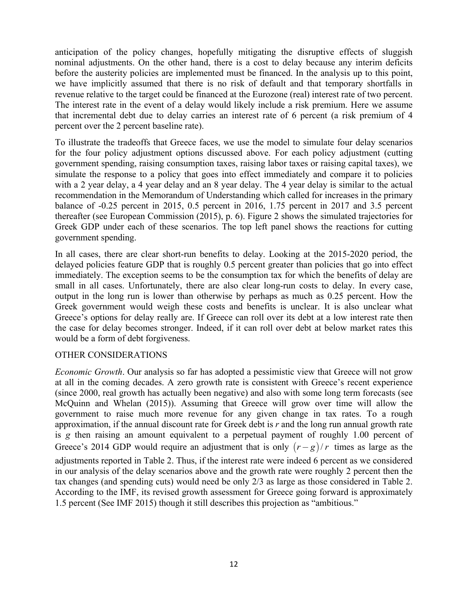anticipation of the policy changes, hopefully mitigating the disruptive effects of sluggish nominal adjustments. On the other hand, there is a cost to delay because any interim deficits before the austerity policies are implemented must be financed. In the analysis up to this point, we have implicitly assumed that there is no risk of default and that temporary shortfalls in revenue relative to the target could be financed at the Eurozone (real) interest rate of two percent. The interest rate in the event of a delay would likely include a risk premium. Here we assume that incremental debt due to delay carries an interest rate of 6 percent (a risk premium of 4 percent over the 2 percent baseline rate).

To illustrate the tradeoffs that Greece faces, we use the model to simulate four delay scenarios for the four policy adjustment options discussed above. For each policy adjustment (cutting government spending, raising consumption taxes, raising labor taxes or raising capital taxes), we simulate the response to a policy that goes into effect immediately and compare it to policies with a 2 year delay, a 4 year delay and an 8 year delay. The 4 year delay is similar to the actual recommendation in the Memorandum of Understanding which called for increases in the primary balance of -0.25 percent in 2015, 0.5 percent in 2016, 1.75 percent in 2017 and 3.5 percent thereafter (see European Commission (2015), p. 6). Figure 2 shows the simulated trajectories for Greek GDP under each of these scenarios. The top left panel shows the reactions for cutting government spending.

In all cases, there are clear short-run benefits to delay. Looking at the 2015-2020 period, the delayed policies feature GDP that is roughly 0.5 percent greater than policies that go into effect immediately. The exception seems to be the consumption tax for which the benefits of delay are small in all cases. Unfortunately, there are also clear long-run costs to delay. In every case, output in the long run is lower than otherwise by perhaps as much as 0.25 percent. How the Greek government would weigh these costs and benefits is unclear. It is also unclear what Greece's options for delay really are. If Greece can roll over its debt at a low interest rate then the case for delay becomes stronger. Indeed, if it can roll over debt at below market rates this would be a form of debt forgiveness.

## OTHER CONSIDERATIONS

*Economic Growth*. Our analysis so far has adopted a pessimistic view that Greece will not grow at all in the coming decades. A zero growth rate is consistent with Greece's recent experience (since 2000, real growth has actually been negative) and also with some long term forecasts (see McQuinn and Whelan (2015)). Assuming that Greece will grow over time will allow the government to raise much more revenue for any given change in tax rates. To a rough approximation, if the annual discount rate for Greek debt is *r* and the long run annual growth rate is *g* then raising an amount equivalent to a perpetual payment of roughly 1.00 percent of Greece's 2014 GDP would require an adjustment that is only  $(r-g)/r$  times as large as the adjustments reported in Table 2. Thus, if the interest rate were indeed 6 percent as we considered in our analysis of the delay scenarios above and the growth rate were roughly 2 percent then the tax changes (and spending cuts) would need be only 2/3 as large as those considered in Table 2. According to the IMF, its revised growth assessment for Greece going forward is approximately 1.5 percent (See IMF 2015) though it still describes this projection as "ambitious."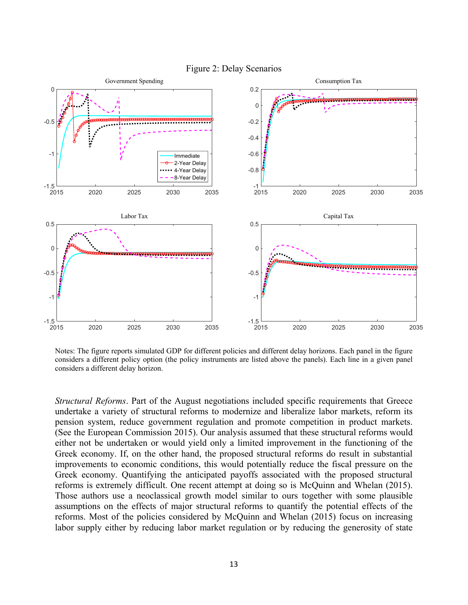

Figure 2: Delay Scenarios

Notes: The figure reports simulated GDP for different policies and different delay horizons. Each panel in the figure considers a different policy option (the policy instruments are listed above the panels). Each line in a given panel considers a different delay horizon.

*Structural Reforms*. Part of the August negotiations included specific requirements that Greece undertake a variety of structural reforms to modernize and liberalize labor markets, reform its pension system, reduce government regulation and promote competition in product markets. (See the European Commission 2015). Our analysis assumed that these structural reforms would either not be undertaken or would yield only a limited improvement in the functioning of the Greek economy. If, on the other hand, the proposed structural reforms do result in substantial improvements to economic conditions, this would potentially reduce the fiscal pressure on the Greek economy. Quantifying the anticipated payoffs associated with the proposed structural reforms is extremely difficult. One recent attempt at doing so is McQuinn and Whelan (2015). Those authors use a neoclassical growth model similar to ours together with some plausible assumptions on the effects of major structural reforms to quantify the potential effects of the reforms. Most of the policies considered by McQuinn and Whelan (2015) focus on increasing labor supply either by reducing labor market regulation or by reducing the generosity of state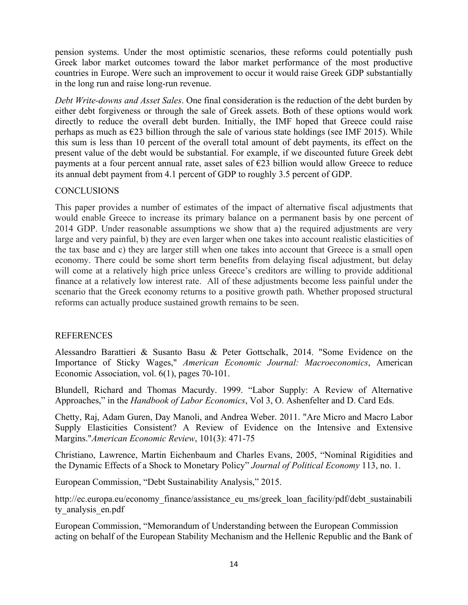pension systems. Under the most optimistic scenarios, these reforms could potentially push Greek labor market outcomes toward the labor market performance of the most productive countries in Europe. Were such an improvement to occur it would raise Greek GDP substantially in the long run and raise long-run revenue.

*Debt Write-downs and Asset Sales*. One final consideration is the reduction of the debt burden by either debt forgiveness or through the sale of Greek assets. Both of these options would work directly to reduce the overall debt burden. Initially, the IMF hoped that Greece could raise perhaps as much as  $\epsilon$ 23 billion through the sale of various state holdings (see IMF 2015). While this sum is less than 10 percent of the overall total amount of debt payments, its effect on the present value of the debt would be substantial. For example, if we discounted future Greek debt payments at a four percent annual rate, asset sales of  $E23$  billion would allow Greece to reduce its annual debt payment from 4.1 percent of GDP to roughly 3.5 percent of GDP.

## **CONCLUSIONS**

This paper provides a number of estimates of the impact of alternative fiscal adjustments that would enable Greece to increase its primary balance on a permanent basis by one percent of 2014 GDP. Under reasonable assumptions we show that a) the required adjustments are very large and very painful, b) they are even larger when one takes into account realistic elasticities of the tax base and c) they are larger still when one takes into account that Greece is a small open economy. There could be some short term benefits from delaying fiscal adjustment, but delay will come at a relatively high price unless Greece's creditors are willing to provide additional finance at a relatively low interest rate. All of these adjustments become less painful under the scenario that the Greek economy returns to a positive growth path. Whether proposed structural reforms can actually produce sustained growth remains to be seen.

## **REFERENCES**

Alessandro Barattieri & Susanto Basu & Peter Gottschalk, 2014. "Some Evidence on the Importance of Sticky Wages," *American Economic Journal: Macroeconomics*, American Economic Association, vol. 6(1), pages 70-101.

Blundell, Richard and Thomas Macurdy. 1999. "Labor Supply: A Review of Alternative Approaches," in the *Handbook of Labor Economics*, Vol 3, O. Ashenfelter and D. Card Eds.

Chetty, Raj, Adam Guren, Day Manoli, and Andrea Weber. 2011. "Are Micro and Macro Labor Supply Elasticities Consistent? A Review of Evidence on the Intensive and Extensive Margins."*American Economic Review*, 101(3): 471-75

Christiano, Lawrence, Martin Eichenbaum and Charles Evans, 2005, "Nominal Rigidities and the Dynamic Effects of a Shock to Monetary Policy" *Journal of Political Economy* 113, no. 1.

European Commission, "Debt Sustainability Analysis," 2015.

http://ec.europa.eu/economy\_finance/assistance\_eu\_ms/greek\_loan\_facility/pdf/debt\_sustainabili ty analysis en.pdf

European Commission, "Memorandum of Understanding between the European Commission acting on behalf of the European Stability Mechanism and the Hellenic Republic and the Bank of